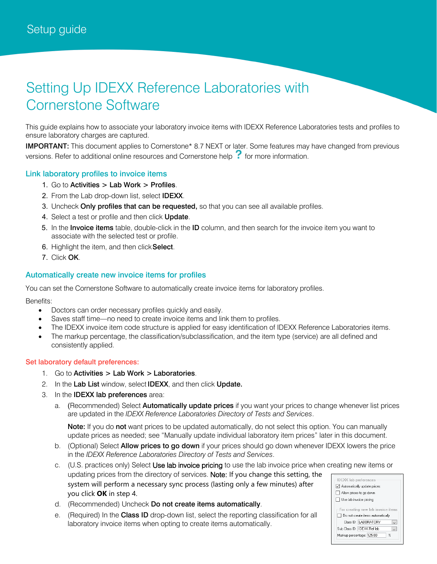# Setting Up IDEXX Reference Laboratories with Cornerstone Software

This guide explains how to associate your laboratory invoice items with IDEXX Reference Laboratories tests and profiles to ensure laboratory charges are captured.

IMPORTANT: This document applies to Cornerstone\* 8.7 NEXT or later. Some features may have changed from previous versions. Refer to additional online resources and Cornerstone help  $\cdot$  for more information.

#### Link laboratory profiles to invoice items

- 1. Go to Activities > Lab Work > Profiles.
- 2. From the Lab drop-down list, select IDEXX.
- 3. Uncheck Only profiles that can be requested, so that you can see all available profiles.
- 4. Select a test or profile and then click Update.
- 5. In the Invoice items table, double-click in the ID column, and then search for the invoice item you want to associate with the selected test or profile.
- 6. Highlight the item, and then click Select.
- 7. Click OK.

#### Automatically create new invoice items for profiles

You can set the Cornerstone Software to automatically create invoice items for laboratory profiles.

Benefits:

- Doctors can order necessary profiles quickly and easily.
- Saves staff time—no need to create invoice items and link them to profiles.
- The IDEXX invoice item code structure is applied for easy identification of IDEXX Reference Laboratories items.
- The markup percentage, the classification/subclassification, and the item type (service) are all defined and consistently applied.

#### Set laboratory default preferences:

- 1. Go to Activities > Lab Work > Laboratories.
- 2. In the Lab List window, select IDEXX, and then click Update.
- 3. In the **IDEXX lab preferences** area:
	- a. (Recommended) Select **Automatically update prices** if you want your prices to change whenever list prices are updated in the *IDEXX Reference Laboratories Directory of Tests and Services*.

Note: If you do not want prices to be updated automatically, do not select this option. You can manually update prices as needed; see "Manually update individual laboratory item prices" later in this document.

- b. (Optional) Select **Allow prices to go down** if your prices should go down whenever IDEXX lowers the price in the *IDEXX Reference Laboratories Directory of Tests and Services*.
- c. (U.S. practices only) Select Use lab invoice pricing to use the lab invoice price when creating new items or updating prices from the directory of services. Note: If you change this setting, the **IDEXX** lab preferences system will perform a necessary sync process (lasting only a few minutes) after  $\boxed{\smile}$  Automatically update prices Allow prices to go down you click **OK** in step 4.
- d. (Recommended) Uncheck Do not create items automatically.
- e. (Required) In the Class ID drop-down list, select the reporting classification for all laboratory invoice items when opting to create items automatically.